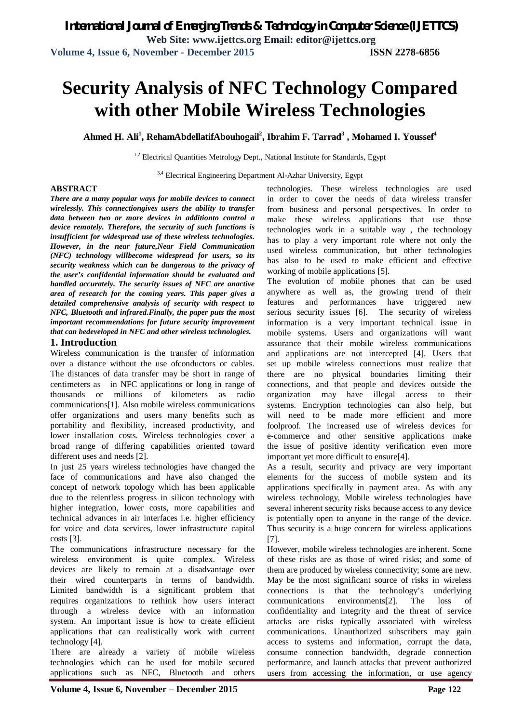# **Security Analysis of NFC Technology Compared with other Mobile Wireless Technologies**

**Ahmed H. Ali<sup>1</sup> , RehamAbdellatifAbouhogail<sup>2</sup> , Ibrahim F. Tarrad<sup>3</sup> , Mohamed I. Youssef<sup>4</sup>**

<sup>1,2</sup> Electrical Quantities Metrology Dept., National Institute for Standards, Egypt

<sup>3,4</sup> Electrical Engineering Department Al-Azhar University, Egypt

### **ABSTRACT**

*There are a many popular ways for mobile devices to connect wirelessly. This connectiongives users the ability to transfer data between two or more devices in additionto control a device remotely. Therefore, the security of such functions is insufficient for widespread use of these wireless technologies. However, in the near future,Near Field Communication (NFC) technology willbecome widespread for users, so its security weakness which can be dangerous to the privacy of the user's confidential information should be evaluated and handled accurately. The security issues of NFC are anactive area of research for the coming years. This paper gives a detailed comprehensive analysis of security with respect to NFC, Bluetooth and infrared.Finally, the paper puts the most important recommendations for future security improvement that can bedeveloped in NFC and other wireless technologies.*

### **1. Introduction**

Wireless communication is the transfer of information over a distance without the use ofconductors or cables. The distances of data transfer may be short in range of centimeters as in NFC applications or long in range of thousands or millions of kilometers as radio communications[1]. Also mobile wireless communications offer organizations and users many benefits such as portability and flexibility, increased productivity, and lower installation costs. Wireless technologies cover a broad range of differing capabilities oriented toward different uses and needs [2].

In just 25 years wireless technologies have changed the face of communications and have also changed the concept of network topology which has been applicable due to the relentless progress in silicon technology with higher integration, lower costs, more capabilities and technical advances in air interfaces i.e. higher efficiency for voice and data services, lower infrastructure capital costs [3].

The communications infrastructure necessary for the wireless environment is quite complex. Wireless devices are likely to remain at a disadvantage over their wired counterparts in terms of bandwidth. Limited bandwidth is a significant problem that requires organizations to rethink how users interact through a wireless device with an information system. An important issue is how to create efficient applications that can realistically work with current technology [4].

There are already a variety of mobile wireless technologies which can be used for mobile secured applications such as NFC, Bluetooth and others

technologies. These wireless technologies are used in order to cover the needs of data wireless transfer from business and personal perspectives. In order to make these wireless applications that use those technologies work in a suitable way , the technology has to play a very important role where not only the used wireless communication, but other technologies has also to be used to make efficient and effective working of mobile applications [5].

The evolution of mobile phones that can be used anywhere as well as, the growing trend of their features and performances have triggered new serious security issues [6]. The security of wireless information is a very important technical issue in mobile systems. Users and organizations will want assurance that their mobile wireless communications and applications are not intercepted [4]. Users that set up mobile wireless connections must realize that there are no physical boundaries limiting their connections, and that people and devices outside the organization may have illegal access to their systems. Encryption technologies can also help, but will need to be made more efficient and more foolproof. The increased use of wireless devices for e-commerce and other sensitive applications make the issue of positive identity verification even more important yet more difficult to ensure[4].

As a result, security and privacy are very important elements for the success of mobile system and its applications specifically in payment area. As with any wireless technology, Mobile wireless technologies have several inherent security risks because access to any device is potentially open to anyone in the range of the device. Thus security is a huge concern for wireless applications [7].

However, mobile wireless technologies are inherent. Some of these risks are as those of wired risks; and some of them are produced by wireless connectivity; some are new. May be the most significant source of risks in wireless connections is that the technology's underlying communications environments[2]. The loss of confidentiality and integrity and the threat of service attacks are risks typically associated with wireless communications. Unauthorized subscribers may gain access to systems and information, corrupt the data, consume connection bandwidth, degrade connection performance, and launch attacks that prevent authorized users from accessing the information, or use agency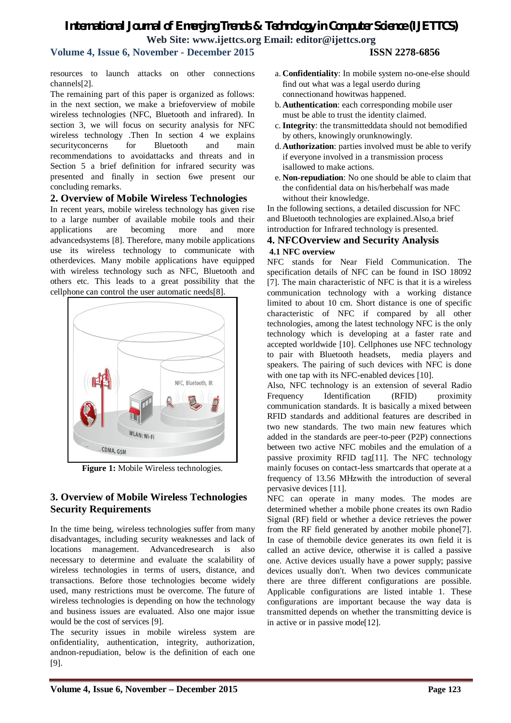### **Volume 4, Issue 6, November - December 2015 ISSN 2278-6856**

resources to launch attacks on other connections channels[2].

The remaining part of this paper is organized as follows: in the next section, we make a briefoverview of mobile wireless technologies (NFC, Bluetooth and infrared). In section 3, we will focus on security analysis for NFC wireless technology .Then In section 4 we explains security concerns for Bluetooth and main recommendations to avoidattacks and threats and in Section 5 a brief definition for infrared security was presented and finally in section 6we present our concluding remarks.

### **2. Overview of Mobile Wireless Technologies**

In recent years, mobile wireless technology has given rise to a large number of available mobile tools and their applications are becoming more and more advancedsystems [8]. Therefore, many mobile applications use its wireless technology to communicate with otherdevices. Many mobile applications have equipped with wireless technology such as NFC, Bluetooth and others etc. This leads to a great possibility that the cellphone can control the user automatic needs[8].



**Figure 1:** Mobile Wireless technologies.

### **3. Overview of Mobile Wireless Technologies Security Requirements**

In the time being, wireless technologies suffer from many disadvantages, including security weaknesses and lack of locations management. Advancedresearch is also necessary to determine and evaluate the scalability of wireless technologies in terms of users, distance, and transactions. Before those technologies become widely used, many restrictions must be overcome. The future of wireless technologies is depending on how the technology and business issues are evaluated. Also one major issue would be the cost of services [9].

The security issues in mobile wireless system are onfidentiality, authentication, integrity, authorization, andnon-repudiation, below is the definition of each one [9].

- b. **Authentication**: each corresponding mobile user must be able to trust the identity claimed.
- c. **Integrity**: the transmitteddata should not bemodified by others, knowingly orunknowingly.
- d.**Authorization**: parties involved must be able to verify if everyone involved in a transmission process isallowed to make actions.
- e. **Non-repudiation**: No one should be able to claim that the confidential data on his/herbehalf was made without their knowledge.

In the following sections, a detailed discussion for NFC and Bluetooth technologies are explained.Also,a brief introduction for Infrared technology is presented.

### **4. NFCOverview and Security Analysis 4.1 NFC overview**

NFC stands for Near Field Communication. The specification details of NFC can be found in ISO 18092 [7]. The main characteristic of NFC is that it is a wireless communication technology with a working distance limited to about 10 cm. Short distance is one of specific characteristic of NFC if compared by all other technologies, among the latest technology NFC is the only technology which is developing at a faster rate and accepted worldwide [10]. Cellphones use NFC technology to pair with Bluetooth headsets, media players and speakers. The pairing of such devices with NFC is done with one tap with its NFC-enabled devices [10].

Also, NFC technology is an extension of several Radio Frequency Identification (RFID) proximity communication standards. It is basically a mixed between RFID standards and additional features are described in two new standards. The two main new features which added in the standards are peer-to-peer (P2P) connections between two active NFC mobiles and the emulation of a passive proximity RFID tag[11]. The NFC technology mainly focuses on contact-less smartcards that operate at a frequency of 13.56 MHzwith the introduction of several pervasive devices [11].

NFC can operate in many modes. The modes are determined whether a mobile phone creates its own Radio Signal (RF) field or whether a device retrieves the power from the RF field generated by another mobile phone[7]. In case of themobile device generates its own field it is called an active device, otherwise it is called a passive one. Active devices usually have a power supply; passive devices usually don't. When two devices communicate there are three different configurations are possible. Applicable configurations are listed intable 1. These configurations are important because the way data is transmitted depends on whether the transmitting device is in active or in passive mode[12].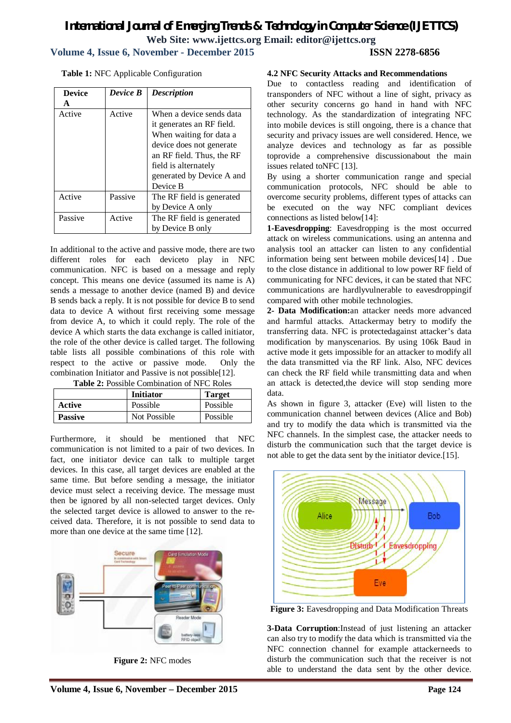### *International Journal of Emerging Trends & Technology in Computer Science (IJETTCS)* **Web Site: www.ijettcs.org Email: editor@ijettcs.org Volume 4, Issue 6, November - December 2015 ISSN 2278-6856**

**Table 1:** NFC Applicable Configuration

| <b>Device</b> | Device B | <b>Description</b>        |
|---------------|----------|---------------------------|
| A             |          |                           |
| Active        | Active   | When a device sends data  |
|               |          | it generates an RF field. |
|               |          | When waiting for data a   |
|               |          | device does not generate  |
|               |          | an RF field. Thus, the RF |
|               |          | field is alternately      |
|               |          | generated by Device A and |
|               |          | Device B                  |
| Active        | Passive  | The RF field is generated |
|               |          | by Device A only          |
| Passive       | Active   | The RF field is generated |
|               |          | by Device B only          |

In additional to the active and passive mode, there are two different roles for each deviceto play in NFC communication. NFC is based on a message and reply concept. This means one device (assumed its name is A) sends a message to another device (named B) and device B sends back a reply. It is not possible for device B to send data to device A without first receiving some message from device A, to which it could reply. The role of the device A which starts the data exchange is called initiator, the role of the other device is called target. The following table lists all possible combinations of this role with respect to the active or passive mode. Only the combination Initiator and Passive is not possible[12].

| <b>Table 2:</b> Possible Combination of NFC Roles |  |  |
|---------------------------------------------------|--|--|
|---------------------------------------------------|--|--|

|                | <b>Initiator</b> | <b>Target</b> |
|----------------|------------------|---------------|
| Active         | Possible         | Possible      |
| <b>Passive</b> | Not Possible     | Possible      |

Furthermore, it should be mentioned that NFC communication is not limited to a pair of two devices. In fact, one initiator device can talk to multiple target devices. In this case, all target devices are enabled at the same time. But before sending a message, the initiator device must select a receiving device. The message must then be ignored by all non-selected target devices. Only the selected target device is allowed to answer to the received data. Therefore, it is not possible to send data to more than one device at the same time [12].



**Figure 2:** NFC modes

### **4.2 NFC Security Attacks and Recommendations**

Due to contactless reading and identification of transponders of NFC without a line of sight, privacy as other security concerns go hand in hand with NFC technology. As the standardization of integrating NFC into mobile devices is still ongoing, there is a chance that security and privacy issues are well considered. Hence, we analyze devices and technology as far as possible toprovide a comprehensive discussionabout the main issues related toNFC [13].

By using a shorter communication range and special communication protocols, NFC should be able to overcome security problems, different types of attacks can be executed on the way NFC compliant devices connections as listed below[14]:

**1-Eavesdropping**: Eavesdropping is the most occurred attack on wireless communications. using an antenna and analysis tool an attacker can listen to any confidential information being sent between mobile devices[14] . Due to the close distance in additional to low power RF field of communicating for NFC devices, it can be stated that NFC communications are hardlyvulnerable to eavesdroppingif compared with other mobile technologies.

**2- Data Modification:**an attacker needs more advanced and harmful attacks. Attackermay betry to modify the transferring data. NFC is protectedagainst attacker's data modification by manyscenarios. By using 106k Baud in active mode it gets impossible for an attacker to modify all the data transmitted via the RF link. Also, NFC devices can check the RF field while transmitting data and when an attack is detected,the device will stop sending more data.

As shown in figure 3, attacker (Eve) will listen to the communication channel between devices (Alice and Bob) and try to modify the data which is transmitted via the NFC channels. In the simplest case, the attacker needs to disturb the communication such that the target device is not able to get the data sent by the initiator device.[15].



Figure 3: Eavesdropping and Data Modification Threats

**3-Data Corruption**:Instead of just listening an attacker can also try to modify the data which is transmitted via the NFC connection channel for example attackerneeds to disturb the communication such that the receiver is not able to understand the data sent by the other device.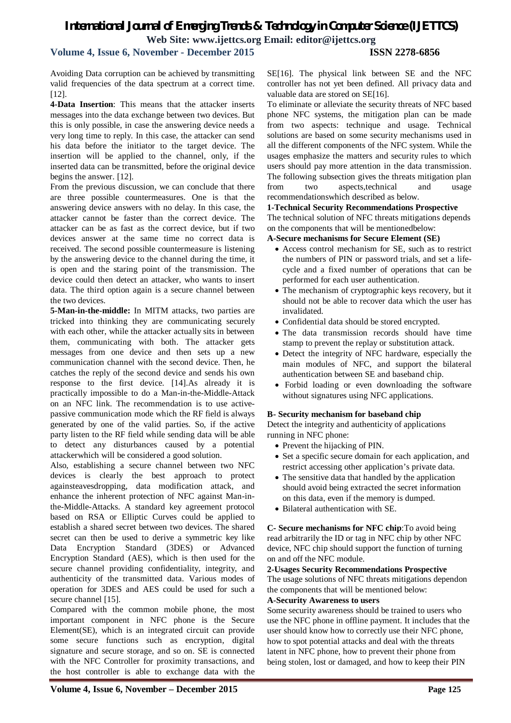### **Volume 4, Issue 6, November - December 2015 ISSN 2278-6856**

Avoiding Data corruption can be achieved by transmitting valid frequencies of the data spectrum at a correct time. [12].

**4-Data Insertion**: This means that the attacker inserts messages into the data exchange between two devices. But this is only possible, in case the answering device needs a very long time to reply. In this case, the attacker can send his data before the initiator to the target device. The insertion will be applied to the channel, only, if the inserted data can be transmitted, before the original device begins the answer. [12].

From the previous discussion, we can conclude that there are three possible countermeasures. One is that the answering device answers with no delay. In this case, the attacker cannot be faster than the correct device. The attacker can be as fast as the correct device, but if two devices answer at the same time no correct data is received. The second possible countermeasure is listening by the answering device to the channel during the time, it is open and the staring point of the transmission. The device could then detect an attacker, who wants to insert data. The third option again is a secure channel between the two devices.

**5-Man-in-the-middle:** In MITM attacks, two parties are tricked into thinking they are communicating securely with each other, while the attacker actually sits in between them, communicating with both. The attacker gets messages from one device and then sets up a new communication channel with the second device. Then, he catches the reply of the second device and sends his own response to the first device. [14].As already it is practically impossible to do a Man-in-the-Middle-Attack on an NFC link. The recommendation is to use activepassive communication mode which the RF field is always generated by one of the valid parties. So, if the active party listen to the RF field while sending data will be able to detect any disturbances caused by a potential attackerwhich will be considered a good solution.

Also, establishing a secure channel between two NFC devices is clearly the best approach to protect againsteavesdropping, data modification attack, and enhance the inherent protection of NFC against Man-inthe-Middle-Attacks. A standard key agreement protocol based on RSA or Elliptic Curves could be applied to establish a shared secret between two devices. The shared secret can then be used to derive a symmetric key like Data Encryption Standard (3DES) or Advanced Encryption Standard (AES), which is then used for the secure channel providing confidentiality, integrity, and authenticity of the transmitted data. Various modes of operation for 3DES and AES could be used for such a secure channel [15].

Compared with the common mobile phone, the most important component in NFC phone is the Secure Element(SE), which is an integrated circuit can provide some secure functions such as encryption, digital signature and secure storage, and so on. SE is connected with the NFC Controller for proximity transactions, and the host controller is able to exchange data with the SE[16]. The physical link between SE and the NFC controller has not yet been defined. All privacy data and valuable data are stored on SE[16].

To eliminate or alleviate the security threats of NFC based phone NFC systems, the mitigation plan can be made from two aspects: technique and usage. Technical solutions are based on some security mechanisms used in all the different components of the NFC system. While the usages emphasize the matters and security rules to which users should pay more attention in the data transmission. The following subsection gives the threats mitigation plan from two aspects,technical and usage recommendationswhich described as below.

#### **1-Technical Security Recommendations Prospective**

The technical solution of NFC threats mitigations depends on the components that will be mentionedbelow:

### **A-Secure mechanisms for Secure Element (SE)**

- Access control mechanism for SE, such as to restrict the numbers of PIN or password trials, and set a lifecycle and a fixed number of operations that can be performed for each user authentication.
- The mechanism of cryptographic keys recovery, but it should not be able to recover data which the user has invalidated.
- Confidential data should be stored encrypted.
- The data transmission records should have time stamp to prevent the replay or substitution attack.
- Detect the integrity of NFC hardware, especially the main modules of NFC, and support the bilateral authentication between SE and baseband chip.
- Forbid loading or even downloading the software without signatures using NFC applications.

#### **B- Security mechanism for baseband chip**

Detect the integrity and authenticity of applications running in NFC phone:

- Prevent the hijacking of PIN.
- Set a specific secure domain for each application, and restrict accessing other application's private data.
- The sensitive data that handled by the application should avoid being extracted the secret information on this data, even if the memory is dumped.
- Bilateral authentication with SE.

**C- Secure mechanisms for NFC chip**:To avoid being read arbitrarily the ID or tag in NFC chip by other NFC device, NFC chip should support the function of turning on and off the NFC module.

### **2-Usages Security Recommendations Prospective** The usage solutions of NFC threats mitigations dependon the components that will be mentioned below:

### **A-Security Awareness to users**

Some security awareness should be trained to users who use the NFC phone in offline payment. It includes that the user should know how to correctly use their NFC phone, how to spot potential attacks and deal with the threats latent in NFC phone, how to prevent their phone from being stolen, lost or damaged, and how to keep their PIN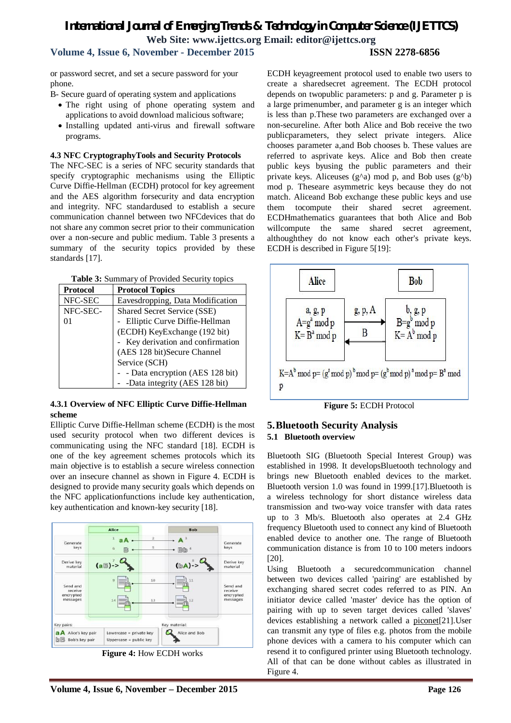## **Volume 4, Issue 6, November - December 2015 ISSN 2278-6856**

or password secret, and set a secure password for your phone.

B- Secure guard of operating system and applications

- The right using of phone operating system and applications to avoid download malicious software;
- Installing updated anti-virus and firewall software programs.

### **4.3 NFC CryptographyTools and Security Protocols**

The NFC-SEC is a series of NFC security standards that specify cryptographic mechanisms using the Elliptic Curve Diffie-Hellman (ECDH) protocol for key agreement and the AES algorithm forsecurity and data encryption and integrity. NFC standardused to establish a secure communication channel between two NFCdevices that do not share any common secret prior to their communication over a non-secure and public medium. Table 3 presents a summary of the security topics provided by these standards [17].

|  |  |  | Table 3: Summary of Provided Security topics |
|--|--|--|----------------------------------------------|
|--|--|--|----------------------------------------------|

| <b>Protocol</b> | <b>Protocol Topics</b>            |  |
|-----------------|-----------------------------------|--|
| NFC-SEC         | Eavesdropping, Data Modification  |  |
| NFC-SEC-        | Shared Secret Service (SSE)       |  |
| 01              | - Elliptic Curve Diffie-Hellman   |  |
|                 | (ECDH) KeyExchange (192 bit)      |  |
|                 | - Key derivation and confirmation |  |
|                 | (AES 128 bit)Secure Channel       |  |
|                 | Service (SCH)                     |  |
|                 | - - Data encryption (AES 128 bit) |  |
|                 | -Data integrity (AES 128 bit)     |  |

### **4.3.1 Overview of NFC Elliptic Curve Diffie-Hellman scheme**

Elliptic Curve Diffie-Hellman scheme (ECDH) is the most used security protocol when two different devices is communicating using the NFC standard [18]. ECDH is one of the key agreement schemes protocols which its main objective is to establish a secure wireless connection over an insecure channel as shown in Figure 4. ECDH is designed to provide many security goals which depends on the NFC applicationfunctions include key authentication, key authentication and known-key security [18].



**Figure 4:** How ECDH works

ECDH keyagreement protocol used to enable two users to create a sharedsecret agreement. The ECDH protocol depends on twopublic parameters: p and g. Parameter p is a large primenumber, and parameter g is an integer which is less than p.These two parameters are exchanged over a non-secureline. After both Alice and Bob receive the two publicparameters, they select private integers. Alice chooses parameter a,and Bob chooses b. These values are referred to asprivate keys. Alice and Bob then create public keys byusing the public parameters and their private keys. Aliceuses  $(g^{\wedge}a)$  mod p, and Bob uses  $(g^{\wedge}b)$ mod p. Theseare asymmetric keys because they do not match. Aliceand Bob exchange these public keys and use them tocompute their shared secret agreement. ECDHmathematics guarantees that both Alice and Bob willcompute the same shared secret agreement, althoughthey do not know each other's private keys. ECDH is described in Figure 5[19]:



**Figure 5:** ECDH Protocol

### **5.Bluetooth Security Analysis 5.1 Bluetooth overview**

Bluetooth SIG (Bluetooth Special Interest Group) was established in 1998. It developsBluetooth technology and brings new Bluetooth enabled devices to the market. Bluetooth version 1.0 was found in 1999.[17].Bluetooth is a wireless technology for short distance wireless data transmission and two-way voice transfer with data rates up to 3 Mb/s. Bluetooth also operates at 2.4 GHz frequency Bluetooth used to connect any kind of Bluetooth enabled device to another one. The range of Bluetooth communication distance is from 10 to 100 meters indoors [20].

Using Bluetooth a securedcommunication channel between two devices called 'pairing' are established by exchanging shared secret codes referred to as PIN. An initiator device called 'master' device has the option of pairing with up to seven target devices called 'slaves' devices establishing a network called a piconet[21].User can transmit any type of files e.g. photos from the mobile phone devices with a camera to his computer which can resend it to configured printer using Bluetooth technology. All of that can be done without cables as illustrated in Figure 4.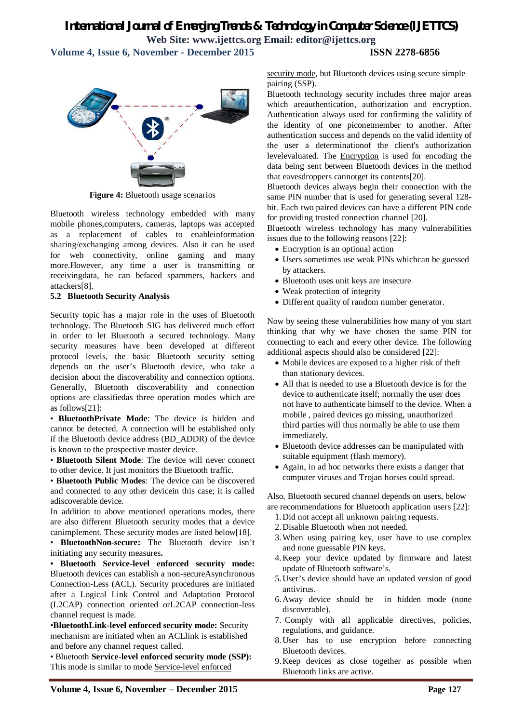*International Journal of Emerging Trends & Technology in Computer Science (IJETTCS)* **Web Site: www.ijettcs.org Email: editor@ijettcs.org Volume 4, Issue 6, November - December 2015 ISSN 2278-6856**



**Figure 4:** Bluetooth usage scenarios

Bluetooth wireless technology embedded with many mobile phones,computers, cameras, laptops was accepted as a replacement of cables to enableinformation sharing/exchanging among devices. Also it can be used for web connectivity, online gaming and many more.However, any time a user is transmitting or receivingdata, he can befaced spammers, hackers and attackers[8].

#### **5.2 Bluetooth Security Analysis**

Security topic has a major role in the uses of Bluetooth technology. The Bluetooth SIG has delivered much effort in order to let Bluetooth a secured technology. Many security measures have been developed at different protocol levels, the basic Bluetooth security setting depends on the user's Bluetooth device, who take a decision about the discoverability and connection options. Generally, Bluetooth discoverability and connection options are classifiedas three operation modes which are as follows[21]:

• **BluetoothPrivate Mode**: The device is hidden and cannot be detected. A connection will be established only if the Bluetooth device address (BD\_ADDR) of the device is known to the prospective master device.

• **Bluetooth Silent Mode**: The device will never connect to other device. It just monitors the Bluetooth traffic.

• **Bluetooth Public Modes**: The device can be discovered and connected to any other devicein this case; it is called adiscoverable device.

In addition to above mentioned operations modes, there are also different Bluetooth security modes that a device canimplement. These security modes are listed below[18].

• **BluetoothNon-secure:** The Bluetooth device isn't initiating any security measures**.**

**• Bluetooth Service-level enforced security mode:** Bluetooth devices can establish a non-secureAsynchronous Connection-Less (ACL). Security procedures are initiated after a Logical Link Control and Adaptation Protocol (L2CAP) connection oriented orL2CAP connection-less channel request is made.

•**BluetoothLink-level enforced security mode:** Security mechanism are initiated when an ACLlink is established and before any channel request called.

• Bluetooth **Service-level enforced security mode (SSP):** This mode is similar to mode Service-level enforced

security mode, but Bluetooth devices using secure simple pairing (SSP).

Bluetooth technology security includes three major areas which areauthentication, authorization and encryption. Authentication always used for confirming the validity of the identity of one piconetmember to another. After authentication success and depends on the valid identity of the user a determinationof the client's authorization levelevaluated. The Encryption is used for encoding the data being sent between Bluetooth devices in the method that eavesdroppers cannotget its contents[20].

Bluetooth devices always begin their connection with the same PIN number that is used for generating several 128 bit. Each two paired devices can have a different PIN code for providing trusted connection channel [20].

Bluetooth wireless technology has many vulnerabilities issues due to the following reasons [22]:

- Encryption is an optional action
- Users sometimes use weak PINs whichcan be guessed by attackers.
- Bluetooth uses unit keys are insecure
- Weak protection of integrity
- Different quality of random number generator.

Now by seeing these vulnerabilities how many of you start thinking that why we have chosen the same PIN for connecting to each and every other device. The following additional aspects should also be considered [22]:

- Mobile devices are exposed to a higher risk of theft than stationary devices.
- All that is needed to use a Bluetooth device is for the device to authenticate itself; normally the user does not have to authenticate himself to the device. When a mobile , paired devices go missing, unauthorized third parties will thus normally be able to use them immediately.
- Bluetooth device addresses can be manipulated with suitable equipment (flash memory).
- Again, in ad hoc networks there exists a danger that computer viruses and Trojan horses could spread.

Also, Bluetooth secured channel depends on users, below are recommendations for Bluetooth application users [22]:

- 1.Did not accept all unknown pairing requests.
- 2.Disable Bluetooth when not needed.
- 3.When using pairing key, user have to use complex and none guessable PIN keys.
- 4.Keep your device updated by firmware and latest update of Bluetooth software's.
- 5.User's device should have an updated version of good antivirus.
- 6.Away device should be in hidden mode (none discoverable).
- 7. Comply with all applicable directives, policies, regulations, and guidance.
- 8.User has to use encryption before connecting Bluetooth devices.
- 9.Keep devices as close together as possible when Bluetooth links are active.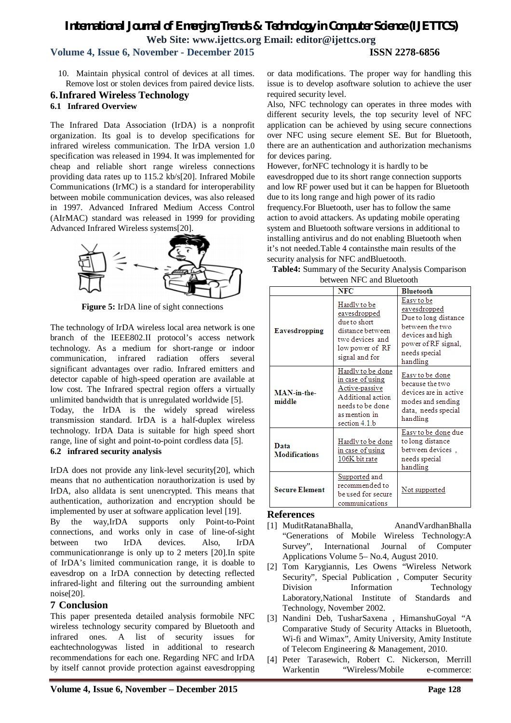### **Volume 4, Issue 6, November - December 2015 ISSN 2278-6856**

10. Maintain physical control of devices at all times. Remove lost or stolen devices from paired device lists.

#### **6.Infrared Wireless Technology 6.1 Infrared Overview**

The Infrared Data Association (IrDA) is a nonprofit organization. Its goal is to develop specifications for infrared wireless communication. The IrDA version 1.0 specification was released in 1994. It was implemented for cheap and reliable short range wireless connections providing data rates up to 115.2 kb/s[20]. Infrared Mobile Communications (IrMC) is a standard for interoperability between mobile communication devices, was also released in 1997. Advanced Infrared Medium Access Control (AIrMAC) standard was released in 1999 for providing Advanced Infrared Wireless systems[20].



**Figure 5:** IrDA line of sight connections

The technology of IrDA wireless local area network is one branch of the IEEE802.II protocol's access network technology. As a medium for short-range or indoor communication, infrared radiation offers several significant advantages over radio. Infrared emitters and detector capable of high-speed operation are available at low cost. The Infrared spectral region offers a virtually unlimited bandwidth that is unregulated worldwide [5]. Today, the IrDA is the widely spread wireless transmission standard. IrDA is a half-duplex wireless technology. IrDA Data is suitable for high speed short range, line of sight and point-to-point cordless data [5].

### **6.2 infrared security analysis**

IrDA does not provide any link-level security[20], which means that no authentication norauthorization is used by IrDA, also alldata is sent unencrypted. This means that authentication, authorization and encryption should be implemented by user at software application level [19].

By the way,IrDA supports only Point-to-Point connections, and works only in case of line-of-sight between two IrDA devices. Also, IrDA communicationrange is only up to 2 meters [20].In spite of IrDA's limited communication range, it is doable to eavesdrop on a IrDA connection by detecting reflected infrared-light and filtering out the surrounding ambient noise[20].

### **7 Conclusion**

This paper presenteda detailed analysis formobile NFC wireless technology security compared by Bluetooth and infrared ones. A list of security issues for eachtechnologywas listed in additional to research recommendations for each one. Regarding NFC and IrDA by itself cannot provide protection against eavesdropping

or data modifications. The proper way for handling this issue is to develop asoftware solution to achieve the user required security level.

Also, NFC technology can operates in three modes with different security levels, the top security level of NFC application can be achieved by using secure connections over NFC using secure element SE. But for Bluetooth, there are an authentication and authorization mechanisms for devices paring.

However, forNFC technology it is hardly to be eavesdropped due to its short range connection supports and low RF power used but it can be happen for Bluetooth due to its long range and high power of its radio frequency.For Bluetooth, user has to follow the same action to avoid attackers. As updating mobile operating system and Bluetooth software versions in additional to installing antivirus and do not enabling Bluetooth when it's not needed.Table 4 containsthe main results of the security analysis for NFC andBluetooth.

| Table4: Summary of the Security Analysis Comparison |  |
|-----------------------------------------------------|--|
| between NFC and Bluetooth                           |  |

|                              | <b>NFC</b>                                                                                                                         | <b>Bluetooth</b>                                                                                                                              |
|------------------------------|------------------------------------------------------------------------------------------------------------------------------------|-----------------------------------------------------------------------------------------------------------------------------------------------|
| <b>Eavesdropping</b>         | Hardly to be<br>eavesdropped<br>due to short.<br>distance between<br>two devices and<br>low power of RF<br>signal and for          | Easy to be<br>eavesdropped<br>Due to long distance<br>between the two<br>devices and high<br>power of RF signal,<br>needs special<br>handling |
| MAN-in-the-<br>middle        | Hardly to be done<br>in case of using<br>Active-passive<br>Additional action<br>needs to be done<br>as mention in<br>section 4.1.b | Easy to be done<br>because the two<br>devices are in active<br>modes and sending<br>data, needs special<br>handling                           |
| Data<br><b>Modifications</b> | Hardly to be done<br>in case of using<br>106K bit rate                                                                             | Easy to be done due<br>to long distance<br>between devices.<br>needs special<br>handling                                                      |
| <b>Secure Element</b>        | Supported and<br>recommended to<br>be used for secure<br>communications                                                            | Not supported                                                                                                                                 |

### **References**

- [1] MuditRatanaBhalla, AnandVardhanBhalla "Generations of Mobile Wireless Technology:A Survey", International Journal of Computer Applications Volume 5– No.4, August 2010.
- [2] Tom Karygiannis, Les Owens "Wireless Network Security", Special Publication , Computer Security Division Information Technology Laboratory,National Institute of Standards and Technology, November 2002.
- [3] Nandini Deb, TusharSaxena , HimanshuGoyal "A Comparative Study of Security Attacks in Bluetooth, Wi-fi and Wimax", Amity University, Amity Institute of Telecom Engineering & Management, 2010.
- [4] Peter Tarasewich, Robert C. Nickerson, Merrill Warkentin "Wireless/Mobile e-commerce: